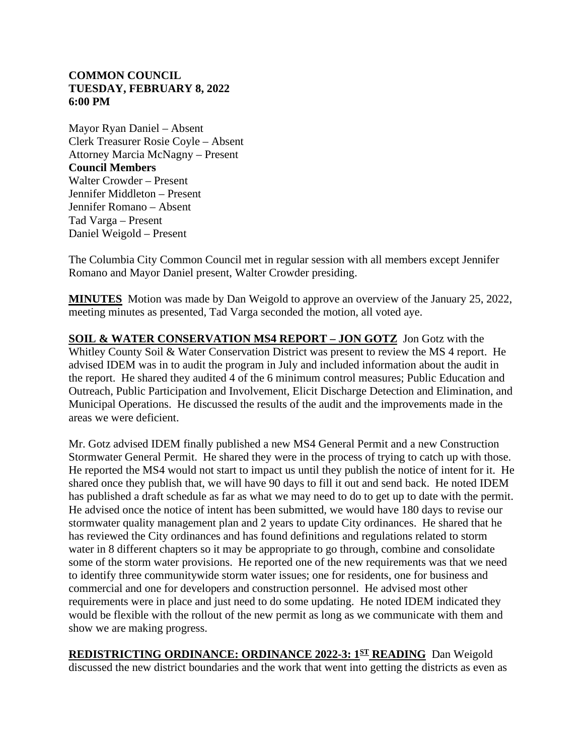## **COMMON COUNCIL TUESDAY, FEBRUARY 8, 2022 6:00 PM**

Mayor Ryan Daniel – Absent Clerk Treasurer Rosie Coyle – Absent Attorney Marcia McNagny – Present **Council Members** Walter Crowder – Present Jennifer Middleton – Present Jennifer Romano – Absent Tad Varga – Present Daniel Weigold – Present

The Columbia City Common Council met in regular session with all members except Jennifer Romano and Mayor Daniel present, Walter Crowder presiding.

**MINUTES** Motion was made by Dan Weigold to approve an overview of the January 25, 2022, meeting minutes as presented, Tad Varga seconded the motion, all voted aye.

**SOIL & WATER CONSERVATION MS4 REPORT – JON GOTZ** Jon Gotz with the Whitley County Soil & Water Conservation District was present to review the MS 4 report. He advised IDEM was in to audit the program in July and included information about the audit in the report. He shared they audited 4 of the 6 minimum control measures; Public Education and Outreach, Public Participation and Involvement, Elicit Discharge Detection and Elimination, and Municipal Operations. He discussed the results of the audit and the improvements made in the areas we were deficient.

Mr. Gotz advised IDEM finally published a new MS4 General Permit and a new Construction Stormwater General Permit. He shared they were in the process of trying to catch up with those. He reported the MS4 would not start to impact us until they publish the notice of intent for it. He shared once they publish that, we will have 90 days to fill it out and send back. He noted IDEM has published a draft schedule as far as what we may need to do to get up to date with the permit. He advised once the notice of intent has been submitted, we would have 180 days to revise our stormwater quality management plan and 2 years to update City ordinances. He shared that he has reviewed the City ordinances and has found definitions and regulations related to storm water in 8 different chapters so it may be appropriate to go through, combine and consolidate some of the storm water provisions. He reported one of the new requirements was that we need to identify three communitywide storm water issues; one for residents, one for business and commercial and one for developers and construction personnel. He advised most other requirements were in place and just need to do some updating. He noted IDEM indicated they would be flexible with the rollout of the new permit as long as we communicate with them and show we are making progress.

**REDISTRICTING ORDINANCE: ORDINANCE 2022-3: 1ST READING** Dan Weigold discussed the new district boundaries and the work that went into getting the districts as even as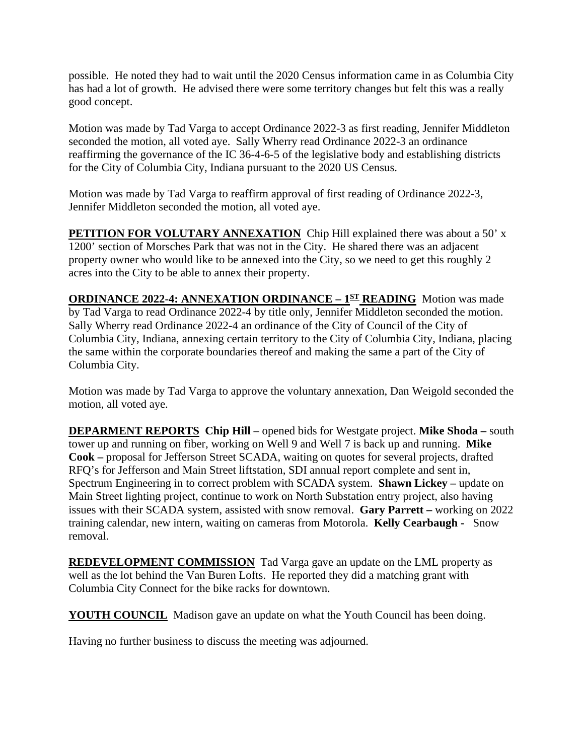possible. He noted they had to wait until the 2020 Census information came in as Columbia City has had a lot of growth. He advised there were some territory changes but felt this was a really good concept.

Motion was made by Tad Varga to accept Ordinance 2022-3 as first reading, Jennifer Middleton seconded the motion, all voted aye. Sally Wherry read Ordinance 2022-3 an ordinance reaffirming the governance of the IC 36-4-6-5 of the legislative body and establishing districts for the City of Columbia City, Indiana pursuant to the 2020 US Census.

Motion was made by Tad Varga to reaffirm approval of first reading of Ordinance 2022-3, Jennifer Middleton seconded the motion, all voted aye.

**PETITION FOR VOLUTARY ANNEXATION** Chip Hill explained there was about a 50' x 1200' section of Morsches Park that was not in the City. He shared there was an adjacent property owner who would like to be annexed into the City, so we need to get this roughly 2 acres into the City to be able to annex their property.

**ORDINANCE 2022-4: ANNEXATION ORDINANCE – 1ST READING** Motion was made by Tad Varga to read Ordinance 2022-4 by title only, Jennifer Middleton seconded the motion. Sally Wherry read Ordinance 2022-4 an ordinance of the City of Council of the City of Columbia City, Indiana, annexing certain territory to the City of Columbia City, Indiana, placing the same within the corporate boundaries thereof and making the same a part of the City of Columbia City.

Motion was made by Tad Varga to approve the voluntary annexation, Dan Weigold seconded the motion, all voted aye.

**DEPARMENT REPORTS Chip Hill** – opened bids for Westgate project. **Mike Shoda –** south tower up and running on fiber, working on Well 9 and Well 7 is back up and running. **Mike Cook –** proposal for Jefferson Street SCADA, waiting on quotes for several projects, drafted RFQ's for Jefferson and Main Street liftstation, SDI annual report complete and sent in, Spectrum Engineering in to correct problem with SCADA system. **Shawn Lickey –** update on Main Street lighting project, continue to work on North Substation entry project, also having issues with their SCADA system, assisted with snow removal. **Gary Parrett –** working on 2022 training calendar, new intern, waiting on cameras from Motorola. **Kelly Cearbaugh -** Snow removal.

**REDEVELOPMENT COMMISSION** Tad Varga gave an update on the LML property as well as the lot behind the Van Buren Lofts. He reported they did a matching grant with Columbia City Connect for the bike racks for downtown.

**YOUTH COUNCIL** Madison gave an update on what the Youth Council has been doing.

Having no further business to discuss the meeting was adjourned.